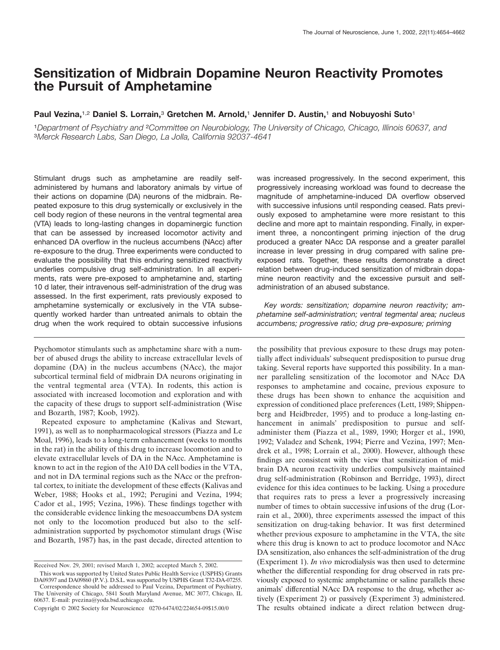# **Sensitization of Midbrain Dopamine Neuron Reactivity Promotes the Pursuit of Amphetamine**

# **Paul Vezina,**1,2 **Daniel S. Lorrain,**<sup>3</sup> **Gretchen M. Arnold,**<sup>1</sup> **Jennifer D. Austin,**<sup>1</sup> **and Nobuyoshi Suto**<sup>1</sup>

<sup>1</sup>*Department of Psychiatry and* <sup>2</sup>*Committee on Neurobiology, The University of Chicago, Chicago, Illinois 60637, and* <sup>3</sup>*Merck Research Labs, San Diego, La Jolla, California 92037-4641*

Stimulant drugs such as amphetamine are readily selfadministered by humans and laboratory animals by virtue of their actions on dopamine (DA) neurons of the midbrain. Repeated exposure to this drug systemically or exclusively in the cell body region of these neurons in the ventral tegmental area (VTA) leads to long-lasting changes in dopaminergic function that can be assessed by increased locomotor activity and enhanced DA overflow in the nucleus accumbens (NAcc) after re-exposure to the drug. Three experiments were conducted to evaluate the possibility that this enduring sensitized reactivity underlies compulsive drug self-administration. In all experiments, rats were pre-exposed to amphetamine and, starting 10 d later, their intravenous self-administration of the drug was assessed. In the first experiment, rats previously exposed to amphetamine systemically or exclusively in the VTA subsequently worked harder than untreated animals to obtain the drug when the work required to obtain successive infusions

Psychomotor stimulants such as amphetamine share with a number of abused drugs the ability to increase extracellular levels of dopamine (DA) in the nucleus accumbens (NAcc), the major subcortical terminal field of midbrain DA neurons originating in the ventral tegmental area (VTA). In rodents, this action is associated with increased locomotion and exploration and with the capacity of these drugs to support self-administration (Wise and Bozarth, 1987; Koob, 1992).

Repeated exposure to amphetamine (Kalivas and Stewart, 1991), as well as to nonpharmacological stressors (Piazza and Le Moal, 1996), leads to a long-term enhancement (weeks to months in the rat) in the ability of this drug to increase locomotion and to elevate extracellular levels of DA in the NAcc. Amphetamine is known to act in the region of the A10 DA cell bodies in the VTA, and not in DA terminal regions such as the NAcc or the prefrontal cortex, to initiate the development of these effects (Kalivas and Weber, 1988; Hooks et al., 1992; Perugini and Vezina, 1994; Cador et al., 1995; Vezina, 1996). These findings together with the considerable evidence linking the mesoaccumbens DA system not only to the locomotion produced but also to the selfadministration supported by psychomotor stimulant drugs (Wise and Bozarth, 1987) has, in the past decade, directed attention to was increased progressively. In the second experiment, this progressively increasing workload was found to decrease the magnitude of amphetamine-induced DA overflow observed with successive infusions until responding ceased. Rats previously exposed to amphetamine were more resistant to this decline and more apt to maintain responding. Finally, in experiment three, a noncontingent priming injection of the drug produced a greater NAcc DA response and a greater parallel increase in lever pressing in drug compared with saline preexposed rats. Together, these results demonstrate a direct relation between drug-induced sensitization of midbrain dopamine neuron reactivity and the excessive pursuit and selfadministration of an abused substance.

*Key words: sensitization; dopamine neuron reactivity; amphetamine self-administration; ventral tegmental area; nucleus accumbens; progressive ratio; drug pre-exposure; priming*

the possibility that previous exposure to these drugs may potentially affect individuals' subsequent predisposition to pursue drug taking. Several reports have supported this possibility. In a manner paralleling sensitization of the locomotor and NAcc DA responses to amphetamine and cocaine, previous exposure to these drugs has been shown to enhance the acquisition and expression of conditioned place preferences (Lett, 1989; Shippenberg and Heidbreder, 1995) and to produce a long-lasting enhancement in animals' predisposition to pursue and selfadminister them (Piazza et al., 1989, 1990; Horger et al., 1990, 1992; Valadez and Schenk, 1994; Pierre and Vezina, 1997; Mendrek et al., 1998; Lorrain et al., 2000). However, although these findings are consistent with the view that sensitization of midbrain DA neuron reactivity underlies compulsively maintained drug self-administration (Robinson and Berridge, 1993), direct evidence for this idea continues to be lacking. Using a procedure that requires rats to press a lever a progressively increasing number of times to obtain successive infusions of the drug (Lorrain et al., 2000), three experiments assessed the impact of this sensitization on drug-taking behavior. It was first determined whether previous exposure to amphetamine in the VTA, the site where this drug is known to act to produce locomotor and NAcc DA sensitization, also enhances the self-administration of the drug (Experiment 1). *In vivo* microdialysis was then used to determine whether the differential responding for drug observed in rats previously exposed to systemic amphetamine or saline parallels these animals' differential NAcc DA response to the drug, whether actively (Experiment 2) or passively (Experiment 3) administered. The results obtained indicate a direct relation between drug-

Received Nov. 29, 2001; revised March 1, 2002; accepted March 5, 2002.

This work was supported by United States Public Health Service (USPHS) Grants DA09397 and DA09860 (P.V.). D.S.L. was supported by USPHS Grant T32-DA-07255.

Correspondence should be addressed to Paul Vezina, Department of Psychiatry, The University of Chicago, 5841 South Maryland Avenue, MC 3077, Chicago, IL 60637. E-mail: pvezina@yoda.bsd.uchicago.edu.

Copyright © 2002 Society for Neuroscience 0270-6474/02/224654-09\$15.00/0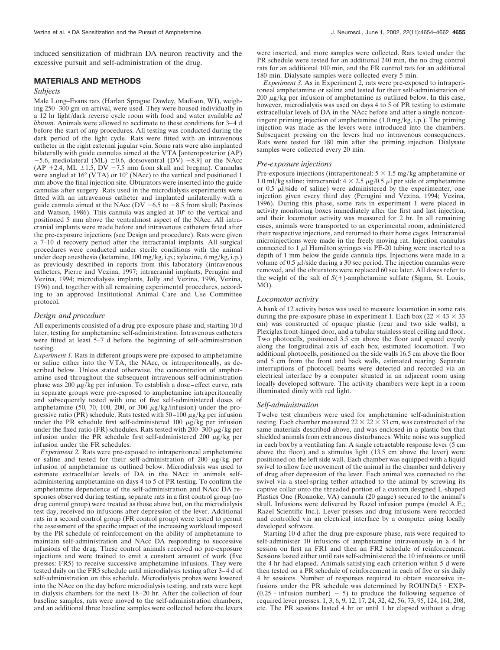induced sensitization of midbrain DA neuron reactivity and the excessive pursuit and self-administration of the drug.

# **MATERIALS AND METHODS**

## *Subjects*

Male Long–Evans rats (Harlan Sprague Dawley, Madison, WI), weighing 250–300 gm on arrival, were used. They were housed individually in a 12 hr light/dark reverse cycle room with food and water available *ad libitum*. Animals were allowed to acclimate to these conditions for 3–4 d before the start of any procedures. All testing was conducted during the dark period of the light cycle. Rats were fitted with an intravenous catheter in the right external jugular vein. Some rats were also implanted bilaterally with guide cannulas aimed at the VTA [anteroposterior (AP)  $-5.6$ , mediolateral (ML)  $\pm 0.6$ , dorsoventral (DV)  $-8.9$ ] or the NAcc  $(AP + 2.4, ML ± 1.5, DV - 7.5 mm from skull and bregma).$  Cannulas were angled at 16° (VTA) or 10° (NAcc) to the vertical and positioned 1 mm above the final injection site. Obturators were inserted into the guide cannulas after surgery. Rats used in the microdialysis experiments were fitted with an intravenous catheter and implanted unilaterally with a guide cannula aimed at the NAcc (DV  $-6.5$  to  $-8.5$  from skull; Paxinos and Watson, 1986). This cannula was angled at 10° to the vertical and positioned 5 mm above the ventralmost aspect of the NAcc. All intracranial implants were made before and intravenous catheters fitted after the pre-exposure injections (see Design and procedure). Rats were given a 7–10 d recovery period after the intracranial implants. All surgical procedures were conducted under sterile conditions with the animal under deep anesthesia (ketamine, 100 mg/kg, i.p.; xylazine, 6 mg/kg, i.p.) as previously described in reports from this laboratory (intravenous catheters, Pierre and Vezina, 1997; intracranial implants, Perugini and Vezina, 1994; microdialysis implants, Jolly and Vezina, 1996, Vezina, 1996) and, together with all remaining experimental procedures, according to an approved Institutional Animal Care and Use Committee protocol.

## *Design and procedure*

All experiments consisted of a drug pre-exposure phase and, starting 10 d later, testing for amphetamine self-administration. Intravenous catheters were fitted at least 5–7 d before the beginning of self-administration testing.

*Experiment 1.* Rats in different groups were pre-exposed to amphetamine or saline either into the VTA, the NAcc, or intraperitoneally, as described below. Unless stated otherwise, the concentration of amphetamine used throughout the subsequent intravenous self-administration phase was 200  $\mu$ g/kg per infusion. To establish a dose–effect curve, rats in separate groups were pre-exposed to amphetamine intraperitoneally and subsequently tested with one of five self-administered doses of amphetamine (50, 70, 100, 200, or 300  $\mu$ g/kg/infusion) under the progressive ratio (PR) schedule. Rats tested with  $50-100 \mu g/kg$  per infusion under the PR schedule first self-administered 100  $\mu$ g/kg per infusion under the fixed ratio (FR) schedules. Rats tested with  $200-300 \mu g/kg$  per infusion under the PR schedule first self-administered 200  $\mu$ g/kg per infusion under the FR schedules.

*Experiment 2.* Rats were pre-exposed to intraperitoneal amphetamine or saline and tested for their self-administration of 200  $\mu$ g/kg per infusion of amphetamine as outlined below. Microdialysis was used to estimate extracellular levels of DA in the NAcc in animals selfadministering amphetamine on days 4 to 5 of PR testing. To confirm the amphetamine dependence of the self-administration and NAcc DA responses observed during testing, separate rats in a first control group (no drug control group) were treated as those above but, on the microdialysis test day, received no infusions after depression of the lever. Additional rats in a second control group (FR control group) were tested to permit the assessment of the specific impact of the increasing workload imposed by the PR schedule of reinforcement on the ability of amphetamine to maintain self-administration and NAcc DA responding to successive infusions of the drug. These control animals received no pre-exposure injections and were trained to emit a constant amount of work (five presses: FR5) to receive successive amphetamine infusions. They were tested daily on the FR5 schedule until microdialysis testing after 3–4 d of self-administration on this schedule. Microdialysis probes were lowered into the NAcc on the day before microdialysis testing, and rats were kept in dialysis chambers for the next 18–20 hr. After the collection of four baseline samples, rats were moved to the self-administration chambers, and an additional three baseline samples were collected before the levers were inserted, and more samples were collected. Rats tested under the PR schedule were tested for an additional 240 min, the no drug control rats for an additional 100 min, and the FR control rats for an additional 180 min. Dialysate samples were collected every 5 min.

*Experiment 3.* As in Experiment 2, rats were pre-exposed to intraperitoneal amphetamine or saline and tested for their self-administration of  $200 \mu$ g/kg per infusion of amphetamine as outlined below. In this case, however, microdialysis was used on days 4 to 5 of PR testing to estimate extracellular levels of DA in the NAcc before and after a single noncontingent priming injection of amphetamine (1.0 mg/kg, i.p.). The priming injection was made as the levers were introduced into the chambers. Subsequent pressing on the levers had no intravenous consequences. Rats were tested for 180 min after the priming injection. Dialysate samples were collected every 20 min.

### *Pre-exposure injections*

Pre-exposure injections (intraperitoneal:  $5 \times 1.5$  mg/kg amphetamine or 1.0 ml/kg saline; intracranial:  $4 \times 2.5 \mu g/0.5 \mu l$  per side of amphetamine or  $0.5 \mu$ *l*/side of saline) were administered by the experimenter, one injection given every third day (Perugini and Vezina, 1994; Vezina, 1996). During this phase, some rats in experiment 1 were placed in activity monitoring boxes immediately after the first and last injection, and their locomotor activity was measured for 2 hr. In all remaining cases, animals were transported to an experimental room, administered their respective injections, and returned to their home cages. Intracranial microinjections were made in the freely moving rat. Injection cannulas connected to 1  $\mu$ l Hamilton syringes via PE-20 tubing were inserted to a depth of 1 mm below the guide cannula tips. Injections were made in a volume of 0.5  $\mu$ *l*/side during a 30 sec period. The injection cannulas were removed, and the obturators were replaced 60 sec later. All doses refer to the weight of the salt of  $S(+)$ -amphetamine sulfate (Sigma, St. Louis, MO).

#### *Locomotor activity*

A bank of 12 activity boxes was used to measure locomotion in some rats during the pre-exposure phase in experiment 1. Each box ( $22 \times 43 \times 33$ ) cm) was constructed of opaque plastic (rear and two side walls), a Plexiglas front-hinged door, and a tubular stainless steel ceiling and floor. Two photocells, positioned 3.5 cm above the floor and spaced evenly along the longitudinal axis of each box, estimated locomotion. Two additional photocells, positioned on the side walls 16.5 cm above the floor and 5 cm from the front and back walls, estimated rearing. Separate interruptions of photocell beams were detected and recorded via an electrical interface by a computer situated in an adjacent room using locally developed software. The activity chambers were kept in a room illuminated dimly with red light.

#### *Self-administration*

Twelve test chambers were used for amphetamine self-administration testing. Each chamber measured  $22 \times 22 \times 33$  cm, was constructed of the same materials described above, and was enclosed in a plastic box that shielded animals from extraneous disturbances. White noise was supplied in each box by a ventilating fan. A single retractable response lever (5 cm above the floor) and a stimulus light (13.5 cm above the lever) were positioned on the left side wall. Each chamber was equipped with a liquid swivel to allow free movement of the animal in the chamber and delivery of drug after depression of the lever. Each animal was connected to the swivel via a steel-spring tether attached to the animal by screwing its captive collar onto the threaded portion of a custom designed L-shaped Plastics One (Roanoke, VA) cannula (20 gauge) secured to the animal's skull. Infusions were delivered by Razel infusion pumps (model A.E.; Razel Scientific Inc.). Lever presses and drug infusions were recorded and controlled via an electrical interface by a computer using locally developed software.

Starting 10 d after the drug pre-exposure phase, rats were required to self-administer 10 infusions of amphetamine intravenously in a 4 hr session on first an FR1 and then an FR2 schedule of reinforcement. Sessions lasted either until rats self-administered the 10 infusions or until the 4 hr had elapsed. Animals satisfying each criterion within 5 d were then tested on a PR schedule of reinforcement in each of five or six daily 4 hr sessions. Number of responses required to obtain successive infusions under the PR schedule was determined by  $ROUND(5 EXP (0.25 \cdot \text{infusion number}) - 5$  to produce the following sequence of required lever presses: 1, 3, 6, 9, 12, 17, 24, 32, 42, 56, 73, 95, 124, 161, 208, etc. The PR sessions lasted 4 hr or until 1 hr elapsed without a drug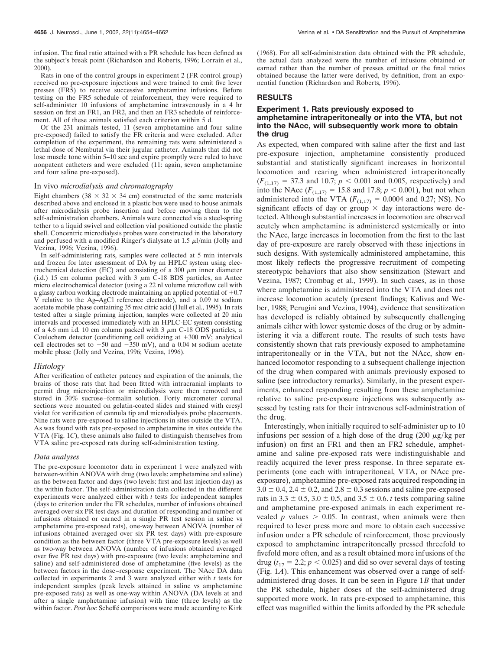infusion. The final ratio attained with a PR schedule has been defined as the subject's break point (Richardson and Roberts, 1996; Lorrain et al., 2000).

Rats in one of the control groups in experiment 2 (FR control group) received no pre-exposure injections and were trained to emit five lever presses (FR5) to receive successive amphetamine infusions. Before testing on the FR5 schedule of reinforcement, they were required to self-administer 10 infusions of amphetamine intravenously in a 4 hr session on first an FR1, an FR2, and then an FR3 schedule of reinforcement. All of these animals satisfied each criterion within 5 d.

Of the 231 animals tested, 11 (seven amphetamine and four saline pre-exposed) failed to satisfy the FR criteria and were excluded. After completion of the experiment, the remaining rats were administered a lethal dose of Nembutal via their jugular catheter. Animals that did not lose muscle tone within 5–10 sec and expire promptly were ruled to have nonpatent catheters and were excluded (11: again, seven amphetamine and four saline pre-exposed).

## In vivo *microdialysis and chromatography*

Eight chambers (38  $\times$  32  $\times$  34 cm) constructed of the same materials described above and enclosed in a plastic box were used to house animals after microdialysis probe insertion and before moving them to the self-administration chambers. Animals were connected via a steel-spring tether to a liquid swivel and collection vial positioned outside the plastic shell. Concentric microdialysis probes were constructed in the laboratory and perfused with a modified Ringer's dialysate at  $1.5 \mu$ l/min (Jolly and Vezina, 1996; Vezina, 1996).

In self-administering rats, samples were collected at 5 min intervals and frozen for later assessment of DA by an HPLC system using electrochemical detection (EC) and consisting of a 300  $\mu$ m inner diameter (i.d.) 15 cm column packed with 3  $\mu$ m C-18 BDS particles, an Antec micro electrochemical detector (using a 22 nl volume microflow cell with a glassy carbon working electrode maintaining an applied potential of  $+0.7$ V relative to the Ag–AgCl reference electrode), and a 0.09 M sodium acetate mobile phase containing 35 mM citric acid (Hull et al., 1995). In rats tested after a single priming injection, samples were collected at 20 min intervals and processed immediately with an HPLC-EC system consisting of a 4.6 mm i.d. 10 cm column packed with 3  $\mu$ m C-18 ODS particles, a Coulochem detector (conditioning cell oxidizing at  $+300$  mV; analytical cell electrodes set to  $-50$  and  $-350$  mV), and a 0.04 M sodium acetate mobile phase (Jolly and Vezina, 1996; Vezina, 1996).

#### *Histology*

After verification of catheter patency and expiration of the animals, the brains of those rats that had been fitted with intracranial implants to permit drug microinjection or microdialysis were then removed and stored in 30% sucrose–formalin solution. Forty micrometer coronal sections were mounted on gelatin-coated slides and stained with cresyl violet for verification of cannula tip and microdialysis probe placements. Nine rats were pre-exposed to saline injections in sites outside the VTA. As was found with rats pre-exposed to amphetamine in sites outside the VTA (Fig. 1*C*), these animals also failed to distinguish themselves from VTA saline pre-exposed rats during self-administration testing.

#### *Data analyses*

The pre-exposure locomotor data in experiment 1 were analyzed with between-within ANOVA with drug (two levels: amphetamine and saline) as the between factor and days (two levels: first and last injection day) as the within factor. The self-administration data collected in the different experiments were analyzed either with *t* tests for independent samples (days to criterion under the FR schedules, number of infusions obtained averaged over six PR test days and duration of responding and number of infusions obtained or earned in a single PR test session in saline vs amphetamine pre-exposed rats), one-way between ANOVA (number of infusions obtained averaged over six PR test days) with pre-exposure condition as the between factor (three VTA pre-exposure levels) as well as two-way between ANOVA (number of infusions obtained averaged over five PR test days) with pre-exposure (two levels: amphetamine and saline) and self-administered dose of amphetamine (five levels) as the between factors in the dose–response experiment. The NAcc DA data collected in experiments 2 and 3 were analyzed either with *t* tests for independent samples (peak levels attained in saline vs amphetamine pre-exposed rats) as well as one-way within ANOVA (DA levels at and after a single amphetamine infusion) with time (three levels) as the within factor. Post hoc Scheffé comparisons were made according to Kirk

(1968). For all self-administration data obtained with the PR schedule, the actual data analyzed were the number of infusions obtained or earned rather than the number of presses emitted or the final ratios obtained because the latter were derived, by definition, from an exponential function (Richardson and Roberts, 1996).

## **RESULTS**

# **Experiment 1. Rats previously exposed to amphetamine intraperitoneally or into the VTA, but not into the NAcc, will subsequently work more to obtain the drug**

As expected, when compared with saline after the first and last pre-exposure injection, amphetamine consistently produced substantial and statistically significant increases in horizontal locomotion and rearing when administered intraperitoneally  $(F_{(1,17)} = 37.3$  and 10.7;  $p < 0.001$  and 0.005, respectively) and into the NAcc ( $F_{(1,17)} = 15.8$  and 17.8;  $p < 0.001$ ), but not when administered into the VTA ( $F_{(1,17)} = 0.0004$  and 0.27; NS). No significant effects of day or group  $\times$  day interactions were detected. Although substantial increases in locomotion are observed acutely when amphetamine is administered systemically or into the NAcc, large increases in locomotion from the first to the last day of pre-exposure are rarely observed with these injections in such designs. With systemically administered amphetamine, this most likely reflects the progressive recruitment of competing stereotypic behaviors that also show sensitization (Stewart and Vezina, 1987; Crombag et al., 1999). In such cases, as in those where amphetamine is administered into the VTA and does not increase locomotion acutely (present findings; Kalivas and Weber, 1988; Perugini and Vezina, 1994), evidence that sensitization has developed is reliably obtained by subsequently challenging animals either with lower systemic doses of the drug or by administering it via a different route. The results of such tests have consistently shown that rats previously exposed to amphetamine intraperitoneally or in the VTA, but not the NAcc, show enhanced locomotor responding to a subsequent challenge injection of the drug when compared with animals previously exposed to saline (see introductory remarks). Similarly, in the present experiments, enhanced responding resulting from these amphetamine relative to saline pre-exposure injections was subsequently assessed by testing rats for their intravenous self-administration of the drug.

Interestingly, when initially required to self-administer up to 10 infusions per session of a high dose of the drug  $(200 \mu g/kg$  per infusion) on first an FR1 and then an FR2 schedule, amphetamine and saline pre-exposed rats were indistinguishable and readily acquired the lever press response. In three separate experiments (one each with intraperitoneal, VTA, or NAcc preexposure), amphetamine pre-exposed rats acquired responding in  $3.0 \pm 0.4$ ,  $2.4 \pm 0.2$ , and  $2.8 \pm 0.3$  sessions and saline pre-exposed rats in 3.3  $\pm$  0.5, 3.0  $\pm$  0.5, and 3.5  $\pm$  0.6. *t* tests comparing saline and amphetamine pre-exposed animals in each experiment revealed  $p$  values  $> 0.05$ . In contrast, when animals were then required to lever press more and more to obtain each successive infusion under a PR schedule of reinforcement, those previously exposed to amphetamine intraperitoneally pressed threefold to fivefold more often, and as a result obtained more infusions of the drug ( $t_{17}$  = 2.2;  $p$  < 0.025) and did so over several days of testing (Fig. 1*A*). This enhancement was observed over a range of selfadministered drug doses. It can be seen in Figure 1*B* that under the PR schedule, higher doses of the self-administered drug supported more work. In rats pre-exposed to amphetamine, this effect was magnified within the limits afforded by the PR schedule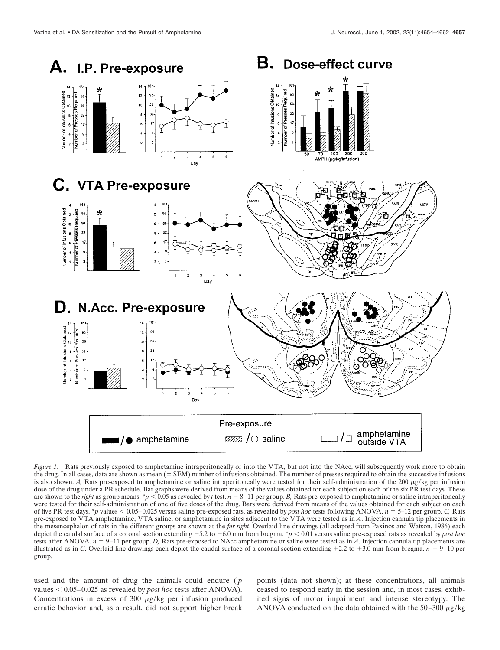

*Figure 1.* Rats previously exposed to amphetamine intraperitoneally or into the VTA, but not into the NAcc, will subsequently work more to obtain the drug. In all cases, data are shown as mean  $(±$  SEM) number of infusions obtained. The number of presses required to obtain the successive infusions is also shown. *A*, Rats pre-exposed to amphetamine or saline intraperitoneally were tested for their self-administration of the 200  $\mu$ g/kg per infusion dose of the drug under a PR schedule. Bar graphs were derived from means of the values obtained for each subject on each of the six PR test days. These are shown to the *right* as group means.  $\gamma p < 0.05$  as revealed by *t* test.  $n = 8-11$  per group. *B*, Rats pre-exposed to amphetamine or saline intraperitoneally were tested for their self-administration of one of five doses of the drug. Bars were derived from means of the values obtained for each subject on each of five PR test days. \**p* values 0.05–0.025 versus saline pre-exposed rats, as revealed by *post hoc* tests following ANOVA. *n* 5–12 per group. *C,* Rats pre-exposed to VTA amphetamine, VTA saline, or amphetamine in sites adjacent to the VTA were tested as in *A*. Injection cannula tip placements in the mesencephalon of rats in the different groups are shown at the *far right*. Overlaid line drawings (all adapted from Paxinos and Watson, 1986) each depict the caudal surface of a coronal section extending  $-5.2$  to  $-6.0$  mm from bregma. \**p* < 0.01 versus saline pre-exposed rats as revealed by *post hoc* tests after ANOVA. *n* 9–11 per group. *D,* Rats pre-exposed to NAcc amphetamine or saline were tested as in *A*. Injection cannula tip placements are illustrated as in *C*. Overlaid line drawings each depict the caudal surface of a coronal section extending  $+2.2$  to  $+3.0$  mm from bregma.  $n = 9-10$  per group.

used and the amount of drug the animals could endure (*p* values  $< 0.05-0.025$  as revealed by *post hoc* tests after ANOVA). Concentrations in excess of 300  $\mu$ g/kg per infusion produced erratic behavior and, as a result, did not support higher break

points (data not shown); at these concentrations, all animals ceased to respond early in the session and, in most cases, exhibited signs of motor impairment and intense stereotypy. The ANOVA conducted on the data obtained with the 50–300  $\mu$ g/kg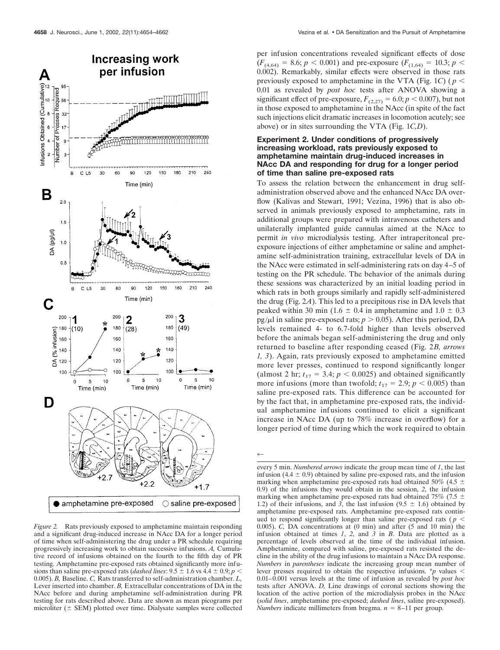

*Figure 2.* Rats previously exposed to amphetamine maintain responding and a significant drug-induced increase in NAcc DA for a longer period of time when self-administering the drug under a PR schedule requiring progressively increasing work to obtain successive infusions. *A,* Cumulative record of infusions obtained on the fourth to the fifth day of PR testing. Amphetamine pre-exposed rats obtained significantly more infusions than saline pre-exposed rats (*dashed lines*:  $9.5 \pm 1.6$  vs  $4.4 \pm 0.9$ ;  $p \le$ 0.005). *B,* Baseline. *C,* Rats transferred to self-administration chamber. *L,* Lever inserted into chamber. *B,* Extracellular concentrations of DA in the NAcc before and during amphetamine self-administration during PR testing for rats described above. Data are shown as mean picograms per microliter  $($   $\pm$  SEM) plotted over time. Dialysate samples were collected

per infusion concentrations revealed significant effects of dose  $(F_{(4,64)} = 8.6; p < 0.001)$  and pre-exposure  $(F_{(1,64)} = 10.3; p <$ 0.002). Remarkably, similar effects were observed in those rats previously exposed to amphetamine in the VTA (Fig. 1*C*) ( $p$  < 0.01 as revealed by *post hoc* tests after ANOVA showing a significant effect of pre-exposure,  $F_{(2,27)} = 6.0; p < 0.007$ ), but not in those exposed to amphetamine in the NAcc (in spite of the fact such injections elicit dramatic increases in locomotion acutely; see above) or in sites surrounding the VTA (Fig. 1*C,D*).

# **Experiment 2. Under conditions of progressively increasing workload, rats previously exposed to amphetamine maintain drug-induced increases in NAcc DA and responding for drug for a longer period of time than saline pre-exposed rats**

To assess the relation between the enhancement in drug selfadministration observed above and the enhanced NAcc DA overflow (Kalivas and Stewart, 1991; Vezina, 1996) that is also observed in animals previously exposed to amphetamine, rats in additional groups were prepared with intravenous catheters and unilaterally implanted guide cannulas aimed at the NAcc to permit *in vivo* microdialysis testing. After intraperitoneal preexposure injections of either amphetamine or saline and amphetamine self-administration training, extracellular levels of DA in the NAcc were estimated in self-administering rats on day 4–5 of testing on the PR schedule. The behavior of the animals during these sessions was characterized by an initial loading period in which rats in both groups similarly and rapidly self-administered the drug (Fig. 2*A*). This led to a precipitous rise in DA levels that peaked within 30 min (1.6  $\pm$  0.4 in amphetamine and 1.0  $\pm$  0.3 pg/ $\mu$ l in saline pre-exposed rats;  $p > 0.05$ ). After this period, DA levels remained 4- to 6.7-fold higher than levels observed before the animals began self-administering the drug and only returned to baseline after responding ceased (Fig. 2*B, arrows 1, 3*). Again, rats previously exposed to amphetamine emitted more lever presses, continued to respond significantly longer (almost 2 hr;  $t_{17} = 3.4$ ;  $p < 0.0025$ ) and obtained significantly more infusions (more than twofold;  $t_{17} = 2.9$ ;  $p < 0.005$ ) than saline pre-exposed rats. This difference can be accounted for by the fact that, in amphetamine pre-exposed rats, the individual amphetamine infusions continued to elicit a significant increase in NAcc DA (up to 78% increase in overflow) for a longer period of time during which the work required to obtain

 $\leftarrow$ 

every 5 min. *Numbered arrows* indicate the group mean time of *1*, the last infusion  $(4.4 \pm 0.9)$  obtained by saline pre-exposed rats, and the infusion marking when amphetamine pre-exposed rats had obtained 50% (4.5  $\pm$ 0.9) of the infusions they would obtain in the session, *2*, the infusion marking when amphetamine pre-exposed rats had obtained 75% (7.5  $\pm$ 1.2) of their infusions, and 3, the last infusion  $(9.5 \pm 1.6)$  obtained by amphetamine pre-exposed rats. Amphetamine pre-exposed rats continued to respond significantly longer than saline pre-exposed rats ( $p <$ 0.005). *C,* DA concentrations at (0 min) and after (5 and 10 min) the infusion obtained at times *1*, *2*, and *3* in *B*. Data are plotted as a percentage of levels observed at the time of the individual infusion. Amphetamine, compared with saline, pre-exposed rats resisted the decline in the ability of the drug infusions to maintain a NAcc DA response. *Numbers* in *parentheses* indicate the increasing group mean number of lever presses required to obtain the respective infusions. \**p* values 0.01–0.001 versus levels at the time of infusion as revealed by *post hoc* tests after ANOVA. *D,* Line drawings of coronal sections showing the location of the active portion of the microdialysis probes in the NAcc (*solid lines*, amphetamine pre-exposed; *dashed lines*, saline pre-exposed). *Numbers* indicate millimeters from bregma.  $n = 8-11$  per group.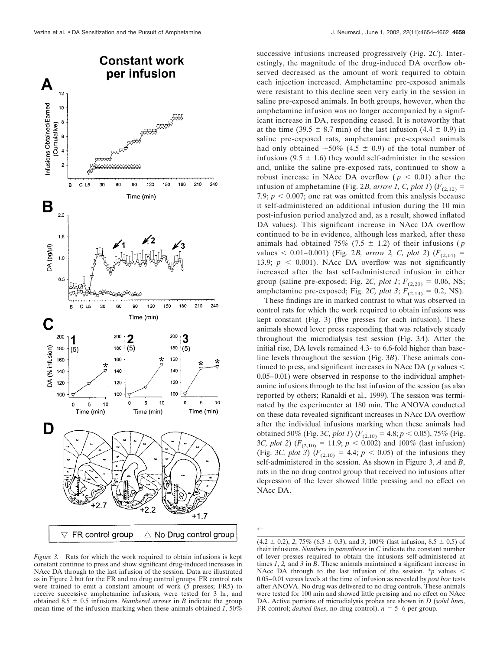

*Figure 3.* Rats for which the work required to obtain infusions is kept constant continue to press and show significant drug-induced increases in NAcc DA through to the last infusion of the session. Data are illustrated as in Figure 2 but for the FR and no drug control groups. FR control rats were trained to emit a constant amount of work (5 presses; FR5) to receive successive amphetamine infusions, were tested for 3 hr, and obtained  $8.5 \pm 0.5$  infusions. *Numbered arrows* in *B* indicate the group mean time of the infusion marking when these animals obtained *1*, 50%

successive infusions increased progressively (Fig. 2*C*). Interestingly, the magnitude of the drug-induced DA overflow observed decreased as the amount of work required to obtain each injection increased. Amphetamine pre-exposed animals were resistant to this decline seen very early in the session in saline pre-exposed animals. In both groups, however, when the amphetamine infusion was no longer accompanied by a significant increase in DA, responding ceased. It is noteworthy that at the time  $(39.5 \pm 8.7 \text{ min})$  of the last infusion  $(4.4 \pm 0.9)$  in saline pre-exposed rats, amphetamine pre-exposed animals had only obtained  $\sim 50\%$  (4.5  $\pm$  0.9) of the total number of infusions  $(9.5 \pm 1.6)$  they would self-administer in the session and, unlike the saline pre-exposed rats, continued to show a robust increase in NAcc DA overflow ( $p < 0.01$ ) after the infusion of amphetamine (Fig. 2*B, arrow 1, C, plot 1*) ( $F_{(2,12)}$  = 7.9;  $p < 0.007$ ; one rat was omitted from this analysis because it self-administered an additional infusion during the 10 min post-infusion period analyzed and, as a result, showed inflated DA values). This significant increase in NAcc DA overflow continued to be in evidence, although less marked, after these animals had obtained  $75\%$   $(7.5 \pm 1.2)$  of their infusions (*p* values  $< 0.01 - 0.001$ ) (Fig. 2*B, arrow 2, C, plot 2*) ( $F_{(2,14)}$  = 13.9;  $p \, < \, 0.001$ ). NAcc DA overflow was not significantly increased after the last self-administered infusion in either group (saline pre-exposed; Fig. 2*C, plot 1*;  $F_{(2,20)} = 0.06$ , NS; amphetamine pre-exposed; Fig. 2*C, plot 3*;  $F_{(2,14)} = 0.2$ , NS).

These findings are in marked contrast to what was observed in control rats for which the work required to obtain infusions was kept constant (Fig. 3) (five presses for each infusion). These animals showed lever press responding that was relatively steady throughout the microdialysis test session (Fig. 3*A*). After the initial rise, DA levels remained 4.3- to 6.6-fold higher than baseline levels throughout the session (Fig. 3*B*). These animals continued to press, and significant increases in NAcc DA ( *p* values 0.05–0.01) were observed in response to the individual amphetamine infusions through to the last infusion of the session (as also reported by others; Ranaldi et al., 1999). The session was terminated by the experimenter at 180 min. The ANOVA conducted on these data revealed significant increases in NAcc DA overflow after the individual infusions marking when these animals had obtained 50% (Fig. 3*C, plot 1*) ( $F_{(2,10)} = 4.8; p < 0.05$ ), 75% (Fig. 3*C, plot 2*) ( $F_{(2,10)} = 11.9$ ;  $p < 0.002$ ) and 100% (last infusion) (Fig. 3*C, plot 3*) ( $F_{(2,10)} = 4.4$ ;  $p < 0.05$ ) of the infusions they self-administered in the session. As shown in Figure 3, *A* and *B*, rats in the no drug control group that received no infusions after depression of the lever showed little pressing and no effect on NAcc DA.

 $\leftarrow$ 

 $(4.2 \pm 0.2), 2, 75\%$   $(6.3 \pm 0.3),$  and 3, 100% (last infusion, 8.5  $\pm$  0.5) of their infusions. *Numbers* in *parentheses* in *C* indicate the constant number of lever presses required to obtain the infusions self-administered at times *1*, *2,* and *3* in *B*. These animals maintained a significant increase in NAcc DA through to the last infusion of the session.  $\ast p$  values < 0.05–0.01 versus levels at the time of infusion as revealed by *post hoc* tests after ANOVA. No drug was delivered to no drug controls. These animals were tested for 100 min and showed little pressing and no effect on NAcc DA. Active portions of microdialysis probes are shown in *D* (*solid lines*, FR control; *dashed lines*, no drug control).  $n = 5-6$  per group.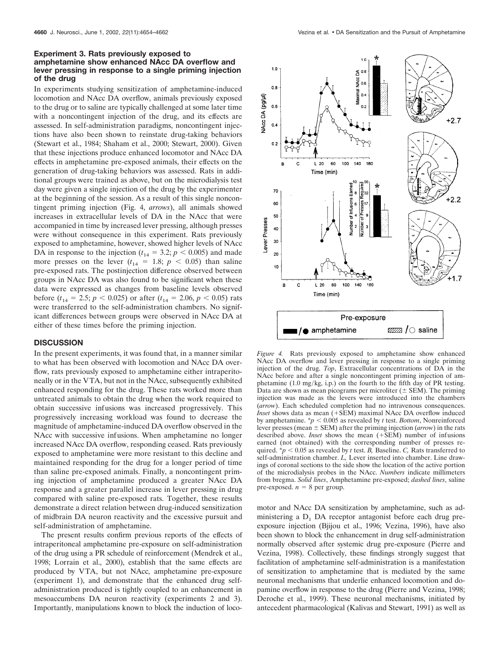# **Experiment 3. Rats previously exposed to amphetamine show enhanced NAcc DA overflow and lever pressing in response to a single priming injection of the drug**

In experiments studying sensitization of amphetamine-induced locomotion and NAcc DA overflow, animals previously exposed to the drug or to saline are typically challenged at some later time with a noncontingent injection of the drug, and its effects are assessed. In self-administration paradigms, noncontingent injections have also been shown to reinstate drug-taking behaviors (Stewart et al., 1984; Shaham et al., 2000; Stewart, 2000). Given that these injections produce enhanced locomotor and NAcc DA effects in amphetamine pre-exposed animals, their effects on the generation of drug-taking behaviors was assessed. Rats in additional groups were trained as above, but on the microdialysis test day were given a single injection of the drug by the experimenter at the beginning of the session. As a result of this single noncontingent priming injection (Fig. 4, *arrows*), all animals showed increases in extracellular levels of DA in the NAcc that were accompanied in time by increased lever pressing, although presses were without consequence in this experiment. Rats previously exposed to amphetamine, however, showed higher levels of NAcc DA in response to the injection ( $t_{14} = 3.2$ ;  $p < 0.005$ ) and made more presses on the lever  $(t_{14} = 1.8; p < 0.05)$  than saline pre-exposed rats. The postinjection difference observed between groups in NAcc DA was also found to be significant when these data were expressed as changes from baseline levels observed before ( $t_{14} = 2.5$ ;  $p < 0.025$ ) or after ( $t_{14} = 2.06$ ,  $p < 0.05$ ) rats were transferred to the self-administration chambers. No significant differences between groups were observed in NAcc DA at either of these times before the priming injection.

## **DISCUSSION**

In the present experiments, it was found that, in a manner similar to what has been observed with locomotion and NAcc DA overflow, rats previously exposed to amphetamine either intraperitoneally or in the VTA, but not in the NAcc, subsequently exhibited enhanced responding for the drug. These rats worked more than untreated animals to obtain the drug when the work required to obtain successive infusions was increased progressively. This progressively increasing workload was found to decrease the magnitude of amphetamine-induced DA overflow observed in the NAcc with successive infusions. When amphetamine no longer increased NAcc DA overflow, responding ceased. Rats previously exposed to amphetamine were more resistant to this decline and maintained responding for the drug for a longer period of time than saline pre-exposed animals. Finally, a noncontingent priming injection of amphetamine produced a greater NAcc DA response and a greater parallel increase in lever pressing in drug compared with saline pre-exposed rats. Together, these results demonstrate a direct relation between drug-induced sensitization of midbrain DA neuron reactivity and the excessive pursuit and self-administration of amphetamine.

The present results confirm previous reports of the effects of intraperitoneal amphetamine pre-exposure on self-administration of the drug using a PR schedule of reinforcement (Mendrek et al., 1998; Lorrain et al., 2000), establish that the same effects are produced by VTA, but not NAcc, amphetamine pre-exposure (experiment 1), and demonstrate that the enhanced drug selfadministration produced is tightly coupled to an enhancement in mesoaccumbens DA neuron reactivity (experiments 2 and 3). Importantly, manipulations known to block the induction of loco-



*Figure 4.* Rats previously exposed to amphetamine show enhanced NAcc DA overflow and lever pressing in response to a single priming injection of the drug. *Top*, Extracellular concentrations of DA in the NAcc before and after a single noncontingent priming injection of amphetamine (1.0 mg/kg, i.p.) on the fourth to the fifth day of PR testing. Data are shown as mean picograms per microliter  $(±$  SEM). The priming injection was made as the levers were introduced into the chambers (*arrow*). Each scheduled completion had no intravenous consequences. *Inset* shows data as mean (+SEM) maximal NAcc DA overflow induced by amphetamine.  $\frac{*p}{0.005}$  as revealed by *t* test. *Bottom*, Nonreinforced lever presses (mean  $\pm$  SEM) after the priming injection (*arrow*) in the rats described above. *Inset* shows the mean (+SEM) number of infusions earned (not obtained) with the corresponding number of presses required.  $* p < 0.05$  as revealed by *t* test. *B*, Baseline. *C*, Rats transferred to self-administration chamber. *L,* Lever inserted into chamber. Line drawings of coronal sections to the side show the location of the active portion of the microdialysis probes in the NAcc. *Numbers* indicate millimeters from bregma. *Solid lines*, Amphetamine pre-exposed; *dashed lines*, saline pre-exposed.  $n = 8$  per group.

motor and NAcc DA sensitization by amphetamine, such as administering a  $D_1$  DA receptor antagonist before each drug preexposure injection (Bjijou et al., 1996; Vezina, 1996), have also been shown to block the enhancement in drug self-administration normally observed after systemic drug pre-exposure (Pierre and Vezina, 1998). Collectively, these findings strongly suggest that facilitation of amphetamine self-administration is a manifestation of sensitization to amphetamine that is mediated by the same neuronal mechanisms that underlie enhanced locomotion and dopamine overflow in response to the drug (Pierre and Vezina, 1998; Deroche et al., 1999). These neuronal mechanisms, initiated by antecedent pharmacological (Kalivas and Stewart, 1991) as well as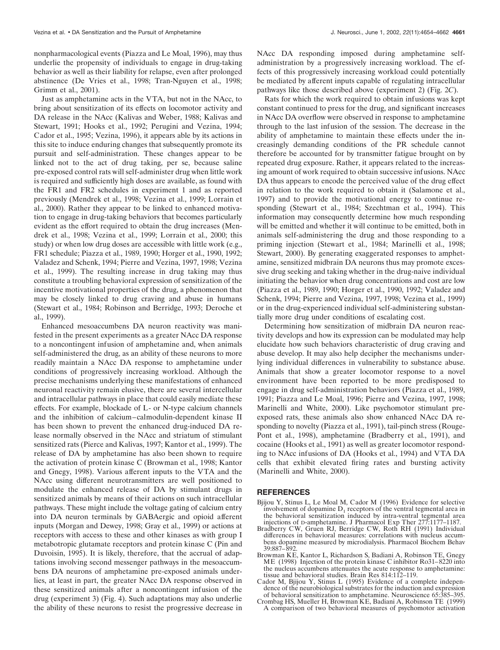nonpharmacological events (Piazza and Le Moal, 1996), may thus underlie the propensity of individuals to engage in drug-taking behavior as well as their liability for relapse, even after prolonged abstinence (De Vries et al., 1998; Tran-Nguyen et al., 1998; Grimm et al., 2001).

Just as amphetamine acts in the VTA, but not in the NAcc, to bring about sensitization of its effects on locomotor activity and DA release in the NAcc (Kalivas and Weber, 1988; Kalivas and Stewart, 1991; Hooks et al., 1992; Perugini and Vezina, 1994; Cador et al., 1995; Vezina, 1996), it appears able by its actions in this site to induce enduring changes that subsequently promote its pursuit and self-administration. These changes appear to be linked not to the act of drug taking, per se, because saline pre-exposed control rats will self-administer drug when little work is required and sufficiently high doses are available, as found with the FR1 and FR2 schedules in experiment 1 and as reported previously (Mendrek et al., 1998; Vezina et al., 1999; Lorrain et al., 2000). Rather they appear to be linked to enhanced motivation to engage in drug-taking behaviors that becomes particularly evident as the effort required to obtain the drug increases (Mendrek et al., 1998; Vezina et al., 1999; Lorrain et al., 2000; this study) or when low drug doses are accessible with little work (e.g., FR1 schedule; Piazza et al., 1989, 1990; Horger et al., 1990, 1992; Valadez and Schenk, 1994; Pierre and Vezina, 1997, 1998; Vezina et al., 1999). The resulting increase in drug taking may thus constitute a troubling behavioral expression of sensitization of the incentive motivational properties of the drug, a phenomenon that may be closely linked to drug craving and abuse in humans (Stewart et al., 1984; Robinson and Berridge, 1993; Deroche et al., 1999).

Enhanced mesoaccumbens DA neuron reactivity was manifested in the present experiments as a greater NAcc DA response to a noncontingent infusion of amphetamine and, when animals self-administered the drug, as an ability of these neurons to more readily maintain a NAcc DA response to amphetamine under conditions of progressively increasing workload. Although the precise mechanisms underlying these manifestations of enhanced neuronal reactivity remain elusive, there are several intercellular and intracellular pathways in place that could easily mediate these effects. For example, blockade of L- or N-type calcium channels and the inhibition of calcium–calmodulin-dependent kinase II has been shown to prevent the enhanced drug-induced DA release normally observed in the NAcc and striatum of stimulant sensitized rats (Pierce and Kalivas, 1997; Kantor et al., 1999). The release of DA by amphetamine has also been shown to require the activation of protein kinase C (Browman et al., 1998; Kantor and Gnegy, 1998). Various afferent inputs to the VTA and the NAcc using different neurotransmitters are well positioned to modulate the enhanced release of DA by stimulant drugs in sensitized animals by means of their actions on such intracellular pathways. These might include the voltage gating of calcium entry into DA neuron terminals by GABAergic and opioid afferent inputs (Morgan and Dewey, 1998; Gray et al., 1999) or actions at receptors with access to these and other kinases as with group I metabotropic glutamate receptors and protein kinase C (Pin and Duvoisin, 1995). It is likely, therefore, that the accrual of adaptations involving second messenger pathways in the mesoaccumbens DA neurons of amphetamine pre-exposed animals underlies, at least in part, the greater NAcc DA response observed in these sensitized animals after a noncontingent infusion of the drug (experiment 3) (Fig. 4). Such adaptations may also underlie the ability of these neurons to resist the progressive decrease in

NAcc DA responding imposed during amphetamine selfadministration by a progressively increasing workload. The effects of this progressively increasing workload could potentially be mediated by afferent inputs capable of regulating intracellular pathways like those described above (experiment 2) (Fig. 2*C*).

Rats for which the work required to obtain infusions was kept constant continued to press for the drug, and significant increases in NAcc DA overflow were observed in response to amphetamine through to the last infusion of the session. The decrease in the ability of amphetamine to maintain these effects under the increasingly demanding conditions of the PR schedule cannot therefore be accounted for by transmitter fatigue brought on by repeated drug exposure. Rather, it appears related to the increasing amount of work required to obtain successive infusions. NAcc DA thus appears to encode the perceived value of the drug effect in relation to the work required to obtain it (Salamone et al., 1997) and to provide the motivational energy to continue responding (Stewart et al., 1984; Szechtman et al., 1994). This information may consequently determine how much responding will be emitted and whether it will continue to be emitted, both in animals self-administering the drug and those responding to a priming injection (Stewart et al., 1984; Marinelli et al., 1998; Stewart, 2000). By generating exaggerated responses to amphetamine, sensitized midbrain DA neurons thus may promote excessive drug seeking and taking whether in the drug-naive individual initiating the behavior when drug concentrations and cost are low (Piazza et al., 1989, 1990; Horger et al., 1990, 1992; Valadez and Schenk, 1994; Pierre and Vezina, 1997, 1998; Vezina et al., 1999) or in the drug-experienced individual self-administering substantially more drug under conditions of escalating cost.

Determining how sensitization of midbrain DA neuron reactivity develops and how its expression can be modulated may help elucidate how such behaviors characteristic of drug craving and abuse develop. It may also help decipher the mechanisms underlying individual differences in vulnerability to substance abuse. Animals that show a greater locomotor response to a novel environment have been reported to be more predisposed to engage in drug self-administration behaviors (Piazza et al., 1989, 1991; Piazza and Le Moal, 1996; Pierre and Vezina, 1997, 1998; Marinelli and White, 2000). Like psychomotor stimulant preexposed rats, these animals also show enhanced NAcc DA responding to novelty (Piazza et al., 1991), tail-pinch stress (Rouge-Pont et al., 1998), amphetamine (Bradberry et al., 1991), and cocaine (Hooks et al., 1991) as well as greater locomotor responding to NAcc infusions of DA (Hooks et al., 1994) and VTA DA cells that exhibit elevated firing rates and bursting activity (Marinelli and White, 2000).

#### **REFERENCES**

- Bjijou Y, Stinus L, Le Moal M, Cador M (1996) Evidence for selective involvement of dopamine  $D_1$  receptors of the ventral tegmental area in the behavioral sensitization induced by intra-ventral tegmental area injections of D-amphetamine. J Pharmacol Exp Ther 277:1177–1187.
- Bradberry CW, Gruen RJ, Berridge CW, Roth RH (1991) Individual differences in behavioral measures: correlations with nucleus accumbens dopamine measured by microdialysis. Pharmacol Biochem Behav 39:887–892.
- Browman KE, Kantor L, Richardson S, Badiani A, Robinson TE, Gnegy ME (1998) Injection of the protein kinase C inhibitor Ro31–8220 into the nucleus accumbens attenuates the acute response to amphetamine: tissue and behavioral studies. Brain Res 814:112–119.
- Cador M, Bjijou Y, Stinus L (1995) Evidence of a complete independence of the neurobiological substrates for the induction and expression of behavioral sensitization to amphetamine. Neuroscience 65:385–395. Crombag HS, Mueller H, Browman KE, Badiani A, Robinson TE (1999)
- A comparison of two behavioral measures of psychomotor activation